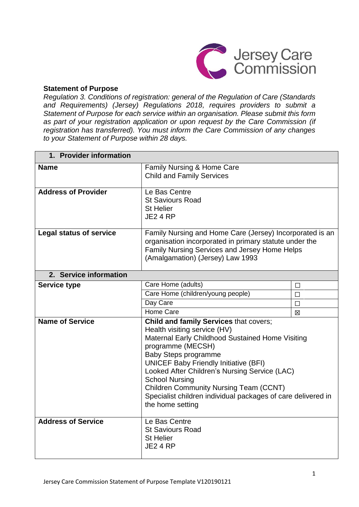

#### **Statement of Purpose**

*Regulation 3. Conditions of registration: general of the Regulation of Care (Standards and Requirements) (Jersey) Regulations 2018, requires providers to submit a Statement of Purpose for each service within an organisation. Please submit this form as part of your registration application or upon request by the Care Commission (if registration has transferred). You must inform the Care Commission of any changes to your Statement of Purpose within 28 days.*

| 1. Provider information        |                                                                                                                                                                                                                                                                                                                                                                                                                                                      |        |
|--------------------------------|------------------------------------------------------------------------------------------------------------------------------------------------------------------------------------------------------------------------------------------------------------------------------------------------------------------------------------------------------------------------------------------------------------------------------------------------------|--------|
| <b>Name</b>                    | Family Nursing & Home Care<br><b>Child and Family Services</b>                                                                                                                                                                                                                                                                                                                                                                                       |        |
| <b>Address of Provider</b>     | Le Bas Centre<br><b>St Saviours Road</b><br><b>St Helier</b><br><b>JE2 4 RP</b>                                                                                                                                                                                                                                                                                                                                                                      |        |
| <b>Legal status of service</b> | Family Nursing and Home Care (Jersey) Incorporated is an<br>organisation incorporated in primary statute under the<br>Family Nursing Services and Jersey Home Helps<br>(Amalgamation) (Jersey) Law 1993                                                                                                                                                                                                                                              |        |
| 2. Service information         |                                                                                                                                                                                                                                                                                                                                                                                                                                                      |        |
| <b>Service type</b>            | Care Home (adults)                                                                                                                                                                                                                                                                                                                                                                                                                                   | $\Box$ |
|                                | Care Home (children/young people)                                                                                                                                                                                                                                                                                                                                                                                                                    | $\Box$ |
|                                | Day Care                                                                                                                                                                                                                                                                                                                                                                                                                                             | П      |
|                                | Home Care                                                                                                                                                                                                                                                                                                                                                                                                                                            | 冈      |
| <b>Name of Service</b>         | <b>Child and family Services that covers;</b><br>Health visiting service (HV)<br>Maternal Early Childhood Sustained Home Visiting<br>programme (MECSH)<br><b>Baby Steps programme</b><br><b>UNICEF Baby Friendly Initiative (BFI)</b><br>Looked After Children's Nursing Service (LAC)<br><b>School Nursing</b><br><b>Children Community Nursing Team (CCNT)</b><br>Specialist children individual packages of care delivered in<br>the home setting |        |
| <b>Address of Service</b>      | Le Bas Centre<br><b>St Saviours Road</b><br><b>St Helier</b><br><b>JE2 4 RP</b>                                                                                                                                                                                                                                                                                                                                                                      |        |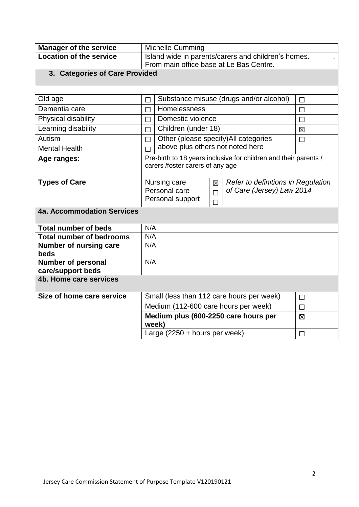| <b>Manager of the service</b>   | <b>Michelle Cumming</b>                             |                                      |        |                                                                  |        |
|---------------------------------|-----------------------------------------------------|--------------------------------------|--------|------------------------------------------------------------------|--------|
| <b>Location of the service</b>  | Island wide in parents/carers and children's homes. |                                      |        |                                                                  |        |
|                                 | From main office base at Le Bas Centre.             |                                      |        |                                                                  |        |
| 3. Categories of Care Provided  |                                                     |                                      |        |                                                                  |        |
|                                 |                                                     |                                      |        |                                                                  |        |
| Old age                         | $\Box$                                              |                                      |        | Substance misuse (drugs and/or alcohol)                          | $\Box$ |
| Dementia care                   | П                                                   | Homelessness                         |        |                                                                  | П      |
| Physical disability             | П                                                   | Domestic violence                    |        |                                                                  | П      |
| Learning disability             | П                                                   | Children (under 18)                  |        |                                                                  | 区      |
| Autism                          | $\Box$                                              |                                      |        | Other (please specify) All categories                            | $\Box$ |
| <b>Mental Health</b>            |                                                     | above plus others not noted here     |        |                                                                  |        |
| Age ranges:                     |                                                     | carers /foster carers of any age     |        | Pre-birth to 18 years inclusive for children and their parents / |        |
|                                 |                                                     |                                      |        |                                                                  |        |
| <b>Types of Care</b>            |                                                     | Nursing care                         | 冈      | Refer to definitions in Regulation                               |        |
|                                 |                                                     | Personal care                        | $\Box$ | of Care (Jersey) Law 2014                                        |        |
|                                 |                                                     | Personal support                     | $\Box$ |                                                                  |        |
| 4a. Accommodation Services      |                                                     |                                      |        |                                                                  |        |
| <b>Total number of beds</b>     | N/A                                                 |                                      |        |                                                                  |        |
| <b>Total number of bedrooms</b> | N/A                                                 |                                      |        |                                                                  |        |
| Number of nursing care<br>beds  | N/A                                                 |                                      |        |                                                                  |        |
| <b>Number of personal</b>       | N/A                                                 |                                      |        |                                                                  |        |
| care/support beds               |                                                     |                                      |        |                                                                  |        |
| 4b. Home care services          |                                                     |                                      |        |                                                                  |        |
| Size of home care service       |                                                     |                                      |        | Small (less than 112 care hours per week)                        | $\Box$ |
|                                 |                                                     | Medium (112-600 care hours per week) |        |                                                                  | $\Box$ |
|                                 | week)                                               |                                      |        | Medium plus (600-2250 care hours per                             | 区      |
|                                 |                                                     | Large $(2250 + hours per week)$      |        |                                                                  | $\Box$ |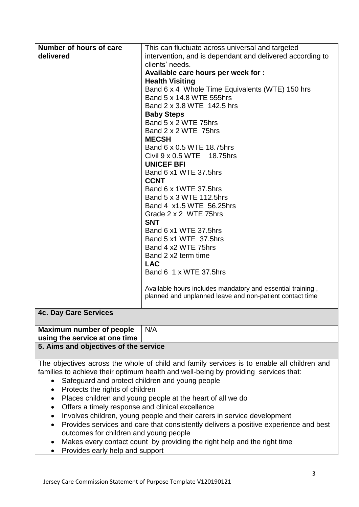| Number of hours of care                                                                           | This can fluctuate across universal and targeted                                           |  |
|---------------------------------------------------------------------------------------------------|--------------------------------------------------------------------------------------------|--|
| delivered                                                                                         | intervention, and is dependant and delivered according to                                  |  |
|                                                                                                   | clients' needs.                                                                            |  |
|                                                                                                   | Available care hours per week for :                                                        |  |
|                                                                                                   | <b>Health Visiting</b>                                                                     |  |
|                                                                                                   | Band 6 x 4 Whole Time Equivalents (WTE) 150 hrs                                            |  |
|                                                                                                   | Band 5 x 14.8 WTE 555hrs                                                                   |  |
|                                                                                                   | Band 2 x 3.8 WTE 142.5 hrs                                                                 |  |
|                                                                                                   | <b>Baby Steps</b>                                                                          |  |
|                                                                                                   | Band 5 x 2 WTE 75hrs                                                                       |  |
|                                                                                                   | Band 2 x 2 WTE 75hrs                                                                       |  |
|                                                                                                   | <b>MECSH</b>                                                                               |  |
|                                                                                                   | Band 6 x 0.5 WTE 18.75hrs                                                                  |  |
|                                                                                                   | Civil 9 x 0.5 WTE 18.75hrs                                                                 |  |
|                                                                                                   | <b>UNICEF BFI</b>                                                                          |  |
|                                                                                                   | Band 6 x1 WTE 37.5hrs                                                                      |  |
|                                                                                                   | <b>CCNT</b>                                                                                |  |
|                                                                                                   | Band 6 x 1WTE 37.5hrs                                                                      |  |
|                                                                                                   | Band 5 x 3 WTE 112.5hrs                                                                    |  |
|                                                                                                   | Band 4 x1.5 WTE 56.25hrs                                                                   |  |
|                                                                                                   | Grade 2 x 2 WTE 75hrs                                                                      |  |
|                                                                                                   | <b>SNT</b>                                                                                 |  |
|                                                                                                   | Band 6 x1 WTE 37.5hrs                                                                      |  |
|                                                                                                   | Band 5 x1 WTE 37.5hrs                                                                      |  |
|                                                                                                   | Band 4 x2 WTE 75hrs                                                                        |  |
|                                                                                                   | Band 2 x2 term time                                                                        |  |
|                                                                                                   | <b>LAC</b>                                                                                 |  |
|                                                                                                   | Band 6 1 x WTE 37.5hrs                                                                     |  |
|                                                                                                   | Available hours includes mandatory and essential training,                                 |  |
|                                                                                                   | planned and unplanned leave and non-patient contact time                                   |  |
|                                                                                                   |                                                                                            |  |
| <b>4c. Day Care Services</b>                                                                      |                                                                                            |  |
| Maximum number of people                                                                          | N/A                                                                                        |  |
| using the service at one time                                                                     |                                                                                            |  |
| 5. Aims and objectives of the service                                                             |                                                                                            |  |
|                                                                                                   | The objectives across the whole of child and family services is to enable all children and |  |
|                                                                                                   | families to achieve their optimum health and well-being by providing services that:        |  |
| Safeguard and protect children and young people<br>$\bullet$                                      |                                                                                            |  |
| Protects the rights of children<br>$\bullet$                                                      |                                                                                            |  |
| Places children and young people at the heart of all we do<br>$\bullet$                           |                                                                                            |  |
| Offers a timely response and clinical excellence<br>$\bullet$                                     |                                                                                            |  |
| Involves children, young people and their carers in service development<br>٠                      |                                                                                            |  |
| Provides services and care that consistently delivers a positive experience and best<br>$\bullet$ |                                                                                            |  |
| outcomes for children and young people                                                            |                                                                                            |  |
| Makes every contact count by providing the right help and the right time<br>٠                     |                                                                                            |  |
| Provides early help and support                                                                   |                                                                                            |  |

**•** Provides early help and support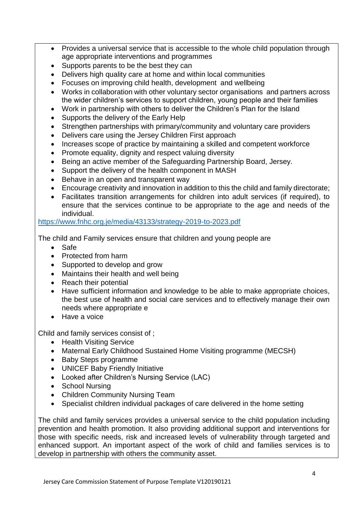- Provides a universal service that is accessible to the whole child population through age appropriate interventions and programmes
- Supports parents to be the best they can
- Delivers high quality care at home and within local communities
- Focuses on improving child health, development and wellbeing
- Works in collaboration with other voluntary sector organisations and partners across the wider children's services to support children, young people and their families
- Work in partnership with others to deliver the Children's Plan for the Island
- Supports the delivery of the Early Help
- Strengthen partnerships with primary/community and voluntary care providers
- Delivers care using the Jersey Children First approach
- Increases scope of practice by maintaining a skilled and competent workforce
- Promote equality, dignity and respect valuing diversity
- Being an active member of the Safeguarding Partnership Board, Jersey.
- Support the delivery of the health component in MASH
- Behave in an open and transparent way
- Encourage creativity and innovation in addition to this the child and family directorate;
- Facilitates transition arrangements for children into adult services (if required), to ensure that the services continue to be appropriate to the age and needs of the individual.

<https://www.fnhc.org.je/media/43133/strategy-2019-to-2023.pdf>

The child and Family services ensure that children and young people are

- Safe
- Protected from harm
- Supported to develop and grow
- Maintains their health and well being
- Reach their potential
- Have sufficient information and knowledge to be able to make appropriate choices, the best use of health and social care services and to effectively manage their own needs where appropriate e
- Have a voice

Child and family services consist of ;

- Health Visiting Service
- Maternal Early Childhood Sustained Home Visiting programme (MECSH)
- Baby Steps programme
- UNICEF Baby Friendly Initiative
- Looked after Children's Nursing Service (LAC)
- School Nursing
- Children Community Nursing Team
- Specialist children individual packages of care delivered in the home setting

The child and family services provides a universal service to the child population including prevention and health promotion. It also providing additional support and interventions for those with specific needs, risk and increased levels of vulnerability through targeted and enhanced support. An important aspect of the work of child and families services is to develop in partnership with others the community asset.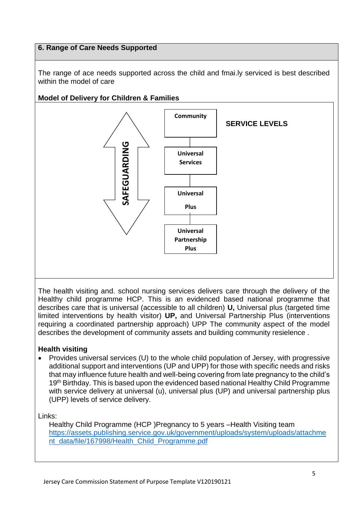## **6. Range of Care Needs Supported**

The range of ace needs supported across the child and fmai.ly serviced is best described within the model of care

## **Model of Delivery for Children & Families**



The health visiting and. school nursing services delivers care through the delivery of the Healthy child programme HCP. This is an evidenced based national programme that describes care that is universal (accessible to all children) **U,** Universal plus (targeted time limited interventions by health visitor) **UP,** and Universal Partnership Plus (interventions requiring a coordinated partnership approach) UPP The community aspect of the model describes the development of community assets and building community resielence .

## **Health visiting**

• Provides universal services (U) to the whole child population of Jersey, with progressive additional support and interventions (UP and UPP) for those with specific needs and risks that may influence future health and well-being covering from late pregnancy to the child's 19<sup>th</sup> Birthday. This is based upon the evidenced based national Healthy Child Programme with service delivery at universal (u), universal plus (UP) and universal partnership plus (UPP) levels of service delivery.

Links:

Healthy Child Programme (HCP )Pregnancy to 5 years –Health Visiting team [https://assets.publishing.service.gov.uk/government/uploads/system/uploads/attachme](https://assets.publishing.service.gov.uk/government/uploads/system/uploads/attachment_data/file/167998/Health_Child_Programme.pdf) [nt\\_data/file/167998/Health\\_Child\\_Programme.pdf](https://assets.publishing.service.gov.uk/government/uploads/system/uploads/attachment_data/file/167998/Health_Child_Programme.pdf)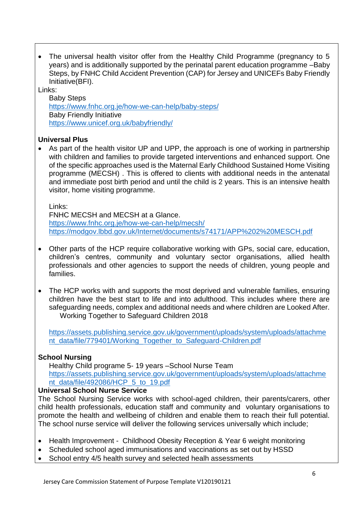• The universal health visitor offer from the Healthy Child Programme (pregnancy to 5 years) and is additionally supported by the perinatal parent education programme –Baby Steps, by FNHC Child Accident Prevention (CAP) for Jersey and UNICEFs Baby Friendly Initiative(BFI).

Links:

Baby Steps <https://www.fnhc.org.je/how-we-can-help/baby-steps/> Baby Friendly Initiative <https://www.unicef.org.uk/babyfriendly/>

## **Universal Plus**

 As part of the health visitor UP and UPP, the approach is one of working in partnership with children and families to provide targeted interventions and enhanced support. One of the specific approaches used is the Maternal Early Childhood Sustained Home Visiting programme (MECSH) . This is offered to clients with additional needs in the antenatal and immediate post birth period and until the child is 2 years. This is an intensive health visitor, home visiting programme.

Links:

FNHC MECSH and MECSH at a Glance. <https://www.fnhc.org.je/how-we-can-help/mecsh/> <https://modgov.lbbd.gov.uk/Internet/documents/s74171/APP%202%20MESCH.pdf>

- Other parts of the HCP require collaborative working with GPs, social care, education, children's centres, community and voluntary sector organisations, allied health professionals and other agencies to support the needs of children, young people and families.
- The HCP works with and supports the most deprived and vulnerable families, ensuring children have the best start to life and into adulthood. This includes where there are safeguarding needs, complex and additional needs and where children are Looked After. Working Together to Safeguard Children 2018

[https://assets.publishing.service.gov.uk/government/uploads/system/uploads/attachme](https://assets.publishing.service.gov.uk/government/uploads/system/uploads/attachment_data/file/779401/Working_Together_to_Safeguard-Children.pdf) [nt\\_data/file/779401/Working\\_Together\\_to\\_Safeguard-Children.pdf](https://assets.publishing.service.gov.uk/government/uploads/system/uploads/attachment_data/file/779401/Working_Together_to_Safeguard-Children.pdf)

# **School Nursing**

Healthy Child programe 5- 19 years –School Nurse Team [https://assets.publishing.service.gov.uk/government/uploads/system/uploads/attachme](https://assets.publishing.service.gov.uk/government/uploads/system/uploads/attachment_data/file/492086/HCP_5_to_19.pdf) [nt\\_data/file/492086/HCP\\_5\\_to\\_19.pdf](https://assets.publishing.service.gov.uk/government/uploads/system/uploads/attachment_data/file/492086/HCP_5_to_19.pdf)

# **Universal School Nurse Service**

The School Nursing Service works with school-aged children, their parents/carers, other child health professionals, education staff and community and voluntary organisations to promote the health and wellbeing of children and enable them to reach their full potential. The school nurse service will deliver the following services universally which include;

- Health Improvement Childhood Obesity Reception & Year 6 weight monitoring
- Scheduled school aged immunisations and vaccinations as set out by HSSD
- School entry 4/5 health survey and selected healh assessments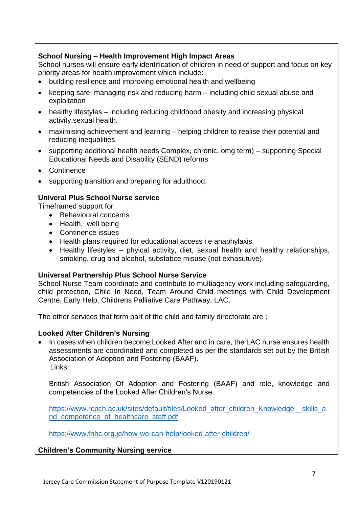# **School Nursing – Health Improvement High Impact Areas**

School nurses will ensure early identification of children in need of support and focus on key priority areas for health improvement which include:

- building resilience and improving emotional health and wellbeing
- keeping safe, managing risk and reducing harm including child sexual abuse and exploitation
- healthy lifestyles including reducing childhood obesity and increasing physical activity,sexual health.
- maximising achievement and learning helping children to realise their potential and reducing inequalities
- supporting additional health needs Complex, chronic, omg term) supporting Special Educational Needs and Disability (SEND) reforms
- Continence
- supporting transition and preparing for adulthood,

# **Univeral Plus School Nurse service**

Timeframed support for

- Behavioural concerns
- Health, well being
- Continence issues
- Health plans required for educational access i.e anaphylaxis
- Healthy lifestyles phyical activity, diet, sexual health and healthy relationships, smoking, drug and alcohol, substabce misuse (not exhasutuve).

## **Universal Partnership Plus School Nurse Service**

School Nurse Team coordinate and contribute to multiagency work including safeguarding, child protection, Child In Need, Team Around Child meetings with Child Development Centre, Early Help, Childrens Palliative Care Pathway, LAC,

The other services that form part of the child and family directorate are ;

## **Looked After Children's Nursing**

• In cases when children become Looked After and in care, the LAC nurse ensures health assessments are coordinated and completed as per the standards set out by the British Association of Adoption and Fostering (BAAF). Links:

British Association Of Adoption and Fostering (BAAF) and role, knowledge and competencies of the Looked After Children's Nurse

https://www.rcpch.ac.uk/sites/default/files/Looked after children Knowledge skills a [nd\\_competence\\_of\\_healthcare\\_staff.pdf](https://www.rcpch.ac.uk/sites/default/files/Looked_after_children_Knowledge__skills_and_competence_of_healthcare_staff.pdf)

<https://www.fnhc.org.je/how-we-can-help/looked-after-children/>

# **Children's Community Nursing service**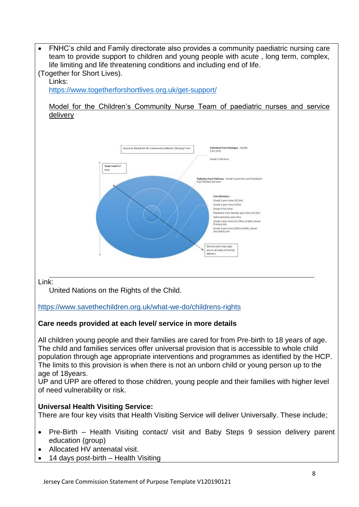FNHC's child and Family directorate also provides a community paediatric nursing care team to provide support to children and young people with acute , long term, complex, life limiting and life threatening conditions and including end of life.

#### (Together for Short Lives). Links:

https://www.togetherforshortlives.org.uk/get-support/

Model for the Children's Community Nurse Team of paediatric nurses and service delivery



## Link:

United Nations on the Rights of the Child.

<https://www.savethechildren.org.uk/what-we-do/childrens-rights>

# **Care needs provided at each level/ service in more details**

All children young people and their families are cared for from Pre-birth to 18 years of age. The child and families services offer universal provision that is accessible to whole child population through age appropriate interventions and programmes as identified by the HCP. The limits to this provision is when there is not an unborn child or young person up to the age of 18years.

UP and UPP are offered to those children, young people and their families with higher level of need vulnerability or risk.

# **Universal Health Visiting Service:**

There are four key visits that Health Visiting Service will deliver Universally. These include;

- Pre-Birth Health Visiting contact/ visit and Baby Steps 9 session delivery parent education (group)
- Allocated HV antenatal visit.
- 14 days post-birth Health Visiting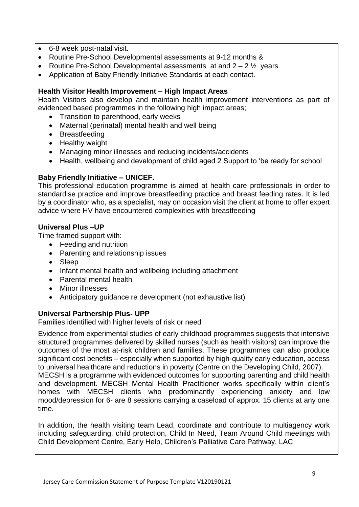- 6-8 week post-natal visit.
- Routine Pre-School Developmental assessments at 9-12 months &
- Routine Pre-School Developmental assessments at and  $2 2\frac{1}{2}$  years
- Application of Baby Friendly Initiative Standards at each contact.

## **Health Visitor Health Improvement – High Impact Areas**

Health Visitors also develop and maintain health improvement interventions as part of evidenced based programmes in the following high impact areas;

- Transition to parenthood, early weeks
- Maternal (perinatal) mental health and well being
- Breastfeeding
- Healthy weight
- Managing minor illnesses and reducing incidents/accidents
- Health, wellbeing and development of child aged 2 Support to 'be ready for school

## **Baby Friendly Initiative – UNICEF.**

This professional education programme is aimed at health care professionals in order to standardise practice and improve breastfeeding practice and breast feeding rates. It is led by a coordinator who, as a specialist, may on occasion visit the client at home to offer expert advice where HV have encountered complexities with breastfeeding

## **Universal Plus –UP**

Time framed support with:

- Feeding and nutrition
- Parenting and relationship issues
- Sleep
- Infant mental health and wellbeing including attachment
- Parental mental health
- Minor illnesses
- Anticipatory guidance re development (not exhaustive list)

# **Universal Partnership Plus- UPP**

Families identified with higher levels of risk or need

Evidence from experimental studies of early childhood programmes suggests that intensive structured programmes delivered by skilled nurses (such as health visitors) can improve the outcomes of the most at-risk children and families. These programmes can also produce significant cost benefits – especially when supported by high-quality early education, access to universal healthcare and reductions in poverty (Centre on the Developing Child, 2007). MECSH is a programme with evidenced outcomes for supporting parenting and child health and development. MECSH Mental Health Practitioner works specifically within client's homes with MECSH clients who predominantly experiencing anxiety and low mood/depression for 6- are 8 sessions carrying a caseload of approx. 15 clients at any one time.

In addition, the health visiting team Lead, coordinate and contribute to multiagency work including safeguarding, child protection, Child In Need, Team Around Child meetings with Child Development Centre, Early Help, Children's Palliative Care Pathway, LAC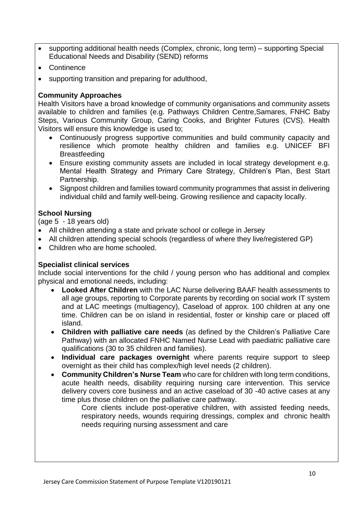- supporting additional health needs (Complex, chronic, long term) supporting Special Educational Needs and Disability (SEND) reforms
- Continence
- supporting transition and preparing for adulthood,

## **Community Approaches**

Health Visitors have a broad knowledge of community organisations and community assets available to children and families (e.g. Pathways Children Centre,Samares, FNHC Baby Steps, Various Community Group, Caring Cooks, and Brighter Futures (CVS). Health Visitors will ensure this knowledge is used to;

- Continuously progress supportive communities and build community capacity and resilience which promote healthy children and families e.g. UNICEF BFI **Breastfeeding**
- Ensure existing community assets are included in local strategy development e.g. Mental Health Strategy and Primary Care Strategy, Children's Plan, Best Start Partnership.
- Signpost children and families toward community programmes that assist in delivering individual child and family well-being. Growing resilience and capacity locally.

# **School Nursing**

(age 5 - 18 years old)

- All children attending a state and private school or college in Jersey
- All children attending special schools (regardless of where they live/registered GP)
- Children who are home schooled.

## **Specialist clinical services**

Include social interventions for the child / young person who has additional and complex physical and emotional needs, including:

- **Looked After Children** with the LAC Nurse delivering BAAF health assessments to all age groups, reporting to Corporate parents by recording on social work IT system and at LAC meetings (multiagency), Caseload of approx. 100 children at any one time. Children can be on island in residential, foster or kinship care or placed off island.
- **Children with palliative care needs** (as defined by the Children's Palliative Care Pathway) with an allocated FNHC Named Nurse Lead with paediatric palliative care qualifications (30 to 35 children and families).
- **Individual care packages overnight** where parents require support to sleep overnight as their child has complex/high level needs (2 children).
- **Community Children's Nurse Team** who care for children with long term conditions, acute health needs, disability requiring nursing care intervention. This service delivery covers core business and an active caseload of 30 -40 active cases at any time plus those children on the palliative care pathway.

Core clients include post-operative children, with assisted feeding needs, respiratory needs, wounds requiring dressings, complex and chronic health needs requiring nursing assessment and care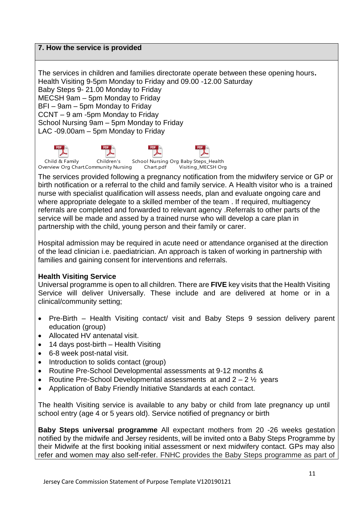## **7. How the service is provided**

The services in children and families directorate operate between these opening hours**.** Health Visiting 9-5pm Monday to Friday and 09.00 -12.00 Saturday Baby Steps 9- 21.00 Monday to Friday MECSH 9am – 5pm Monday to Friday BFI – 9am – 5pm Monday to Friday CCNT – 9 am -5pm Monday to Friday School Nursing 9am – 5pm Monday to Friday LAC -09.00am – 5pm Monday to Friday

Child & Family Overview Org Chart.Community Nursing Chart.pdf Children's School Nursing Org Baby Steps\_Health Visiting\_MECSH Org

The services provided following a pregnancy notification from the midwifery service or GP or birth notification or a referral to the child and family service. A Health visitor who is a trained nurse with specialist qualification will assess needs, plan and evaluate ongoing care and where appropriate delegate to a skilled member of the team . If required, multiagency referrals are completed and forwarded to relevant agency .Referrals to other parts of the service will be made and assed by a trained nurse who will develop a care plan in partnership with the child, young person and their family or carer.

Hospital admission may be required in acute need or attendance organised at the direction of the lead clinician i.e. paediatrician. An approach is taken of working in partnership with families and gaining consent for interventions and referrals.

## **Health Visiting Service**

Universal programme is open to all children. There are **FIVE** key visits that the Health Visiting Service will deliver Universally. These include and are delivered at home or in a clinical/community setting;

- Pre-Birth Health Visiting contact/ visit and Baby Steps 9 session delivery parent education (group)
- Allocated HV antenatal visit.
- 14 days post-birth Health Visiting
- 6-8 week post-natal visit.
- Introduction to solids contact (group)
- Routine Pre-School Developmental assessments at 9-12 months &
- Routine Pre-School Developmental assessments at and  $2 2\frac{1}{2}$  years
- Application of Baby Friendly Initiative Standards at each contact.

The health Visiting service is available to any baby or child from late pregnancy up until school entry (age 4 or 5 years old). Service notified of pregnancy or birth

**Baby Steps universa**l **programme** All expectant mothers from 20 -26 weeks gestation notified by the midwife and Jersey residents, will be invited onto a Baby Steps Programme by their Midwife at the first booking initial assessment or next midwifery contact. GPs may also refer and women may also self-refer. FNHC provides the Baby Steps programme as part of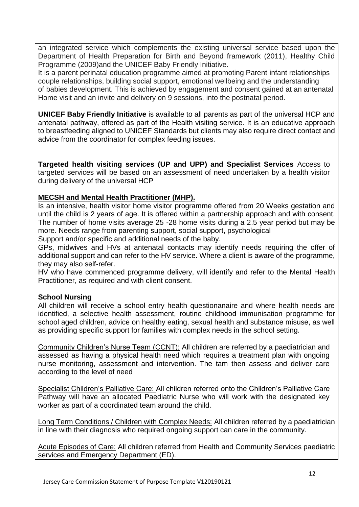an integrated service which complements the existing universal service based upon the Department of Health Preparation for Birth and Beyond framework (2011), Healthy Child Programme (2009)and the UNICEF Baby Friendly Initiative.

It is a parent perinatal education programme aimed at promoting Parent infant relationships couple relationships, building social support, emotional wellbeing and the understanding of babies development. This is achieved by engagement and consent gained at an antenatal Home visit and an invite and delivery on 9 sessions, into the postnatal period.

**UNICEF Baby Friendly Initiative** is available to all parents as part of the universal HCP and antenatal pathway, offered as part of the Health visiting service. It is an educative approach to breastfeeding aligned to UNICEF Standards but clients may also require direct contact and advice from the coordinator for complex feeding issues.

**Targeted health visiting services (UP and UPP) and Specialist Services** Access to targeted services will be based on an assessment of need undertaken by a health visitor during delivery of the universal HCP

# **MECSH and Mental Health Practitioner (MHP).**

Is an intensive, health visitor home visitor programme offered from 20 Weeks gestation and until the child is 2 years of age. It is offered within a partnership approach and with consent. The number of home visits average 25 -28 home visits during a 2.5 year period but may be more. Needs range from parenting support, social support, psychological

Support and/or specific and additional needs of the baby.

GPs, midwives and HVs at antenatal contacts may identify needs requiring the offer of additional support and can refer to the HV service. Where a client is aware of the programme, they may also self-refer.

HV who have commenced programme delivery, will identify and refer to the Mental Health Practitioner, as required and with client consent.

# **School Nursing**

All children will receive a school entry health questionanaire and where health needs are identified, a selective health assessment, routine childhood immunisation programme for school aged children, advice on healthy eating, sexual health and substance misuse, as well as providing specific support for families with complex needs in the school setting.

Community Children's Nurse Team (CCNT): All children are referred by a paediatrician and assessed as having a physical health need which requires a treatment plan with ongoing nurse monitoring, assessment and intervention. The tam then assess and deliver care according to the level of need

Specialist Children's Palliative Care: All children referred onto the Children's Palliative Care Pathway will have an allocated Paediatric Nurse who will work with the designated key worker as part of a coordinated team around the child.

Long Term Conditions / Children with Complex Needs: All children referred by a paediatrician in line with their diagnosis who required ongoing support can care in the community.

Acute Episodes of Care: All children referred from Health and Community Services paediatric services and Emergency Department (ED).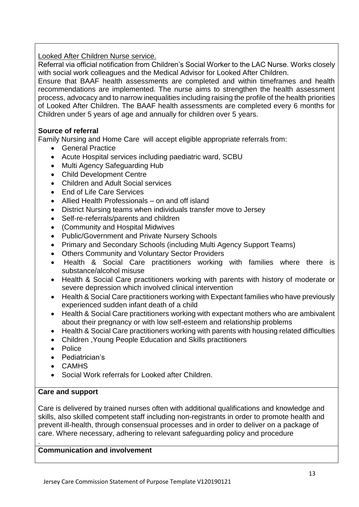Looked After Children Nurse service.

Referral via official notification from Children's Social Worker to the LAC Nurse. Works closely with social work colleagues and the Medical Advisor for Looked After Children.

Ensure that BAAF health assessments are completed and within timeframes and health recommendations are implemented. The nurse aims to strengthen the health assessment process, advocacy and to narrow inequalities including raising the profile of the health priorities of Looked After Children. The BAAF health assessments are completed every 6 months for Children under 5 years of age and annually for children over 5 years.

# **Source of referral**

Family Nursing and Home Care will accept eligible appropriate referrals from:

- General Practice
- Acute Hospital services including paediatric ward, SCBU
- Multi Agency Safeguarding Hub
- Child Development Centre
- Children and Adult Social services
- End of Life Care Services
- Allied Health Professionals on and off island
- District Nursing teams when individuals transfer move to Jersey
- Self-re-referrals/parents and children
- (Community and Hospital Midwives
- Public/Government and Private Nursery Schools
- Primary and Secondary Schools (including Multi Agency Support Teams)
- Others Community and Voluntary Sector Providers
- Health & Social Care practitioners working with families where there is substance/alcohol misuse
- Health & Social Care practitioners working with parents with history of moderate or severe depression which involved clinical intervention
- Health & Social Care practitioners working with Expectant families who have previously experienced sudden infant death of a child
- Health & Social Care practitioners working with expectant mothers who are ambivalent about their pregnancy or with low self-esteem and relationship problems
- Health & Social Care practitioners working with parents with housing related difficulties
- Children ,Young People Education and Skills practitioners
- Police
- Pediatrician's
- CAMHS
- Social Work referrals for Looked after Children.

# **Care and support**

.

Care is delivered by trained nurses often with additional qualifications and knowledge and skills, also skilled competent staff including non-registrants in order to promote health and prevent ill-health, through consensual processes and in order to deliver on a package of care. Where necessary, adhering to relevant safeguarding policy and procedure

# **Communication and involvement**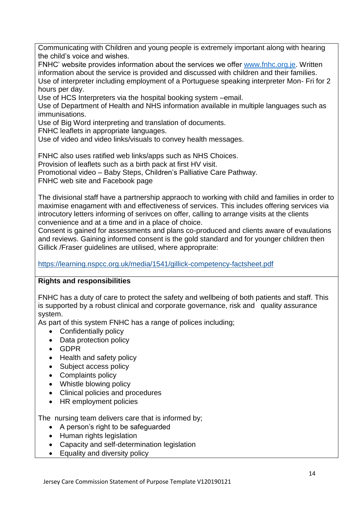Communicating with Children and young people is extremely important along with hearing the child's voice and wishes.

FNHC' website provides information about the services we offer [www.fnhc.org.je.](http://www.fnhc.org.je/) Written information about the service is provided and discussed with children and their families. Use of interpreter including employment of a Portuguese speaking interpreter Mon- Fri for 2 hours per day.

Use of HCS Interpreters via the hospital booking system –email.

Use of Department of Health and NHS information available in multiple languages such as immunisations.

Use of Big Word interpreting and translation of documents.

FNHC leaflets in appropriate languages.

Use of video and video links/visuals to convey health messages.

FNHC also uses ratified web links/apps such as NHS Choices.

Provision of leaflets such as a birth pack at first HV visit.

Promotional video – Baby Steps, Children's Palliative Care Pathway.

FNHC web site and Facebook page

The divisional staff have a partnership appraoch to working with child and families in order to maximise enagament with and effectiveness of services. This includes offering services via introcutory letters informing of serivces on offer, calling to arrange visits at the clients convenience and at a time and in a place of choice.

Consent is gained for assessments and plans co-produced and clients aware of evaulations and reviews. Gaining informed consent is the gold standard and for younger children then Gillick /Fraser guidelines are utilised, where appropraite:

<https://learning.nspcc.org.uk/media/1541/gillick-competency-factsheet.pdf>

# **Rights and responsibilities**

FNHC has a duty of care to protect the safety and wellbeing of both patients and staff. This is supported by a robust clinical and corporate governance, risk and quality assurance system.

As part of this system FNHC has a range of polices including;

- Confidentially policy
- Data protection policy
- GDPR
- Health and safety policy
- Subject access policy
- Complaints policy
- Whistle blowing policy
- Clinical policies and procedures
- HR employment policies

The nursing team delivers care that is informed by;

- A person's right to be safeguarded
- Human rights legislation
- Capacity and self-determination legislation
- Equality and diversity policy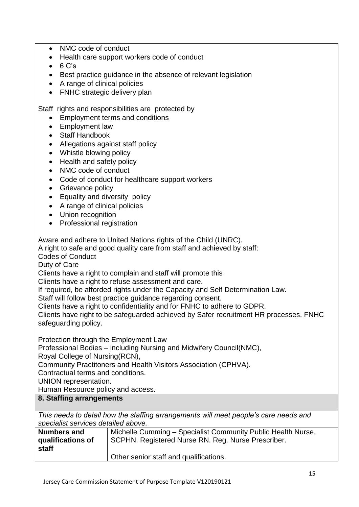- NMC code of conduct
- Health care support workers code of conduct
- $\bullet$  6 C's
- Best practice guidance in the absence of relevant legislation
- A range of clinical policies
- FNHC strategic delivery plan

Staff rights and responsibilities are protected by

- Employment terms and conditions
- Employment law
- Staff Handbook
- Allegations against staff policy
- Whistle blowing policy
- Health and safety policy
- NMC code of conduct
- Code of conduct for healthcare support workers
- Grievance policy
- Equality and diversity policy
- A range of clinical policies
- Union recognition
- Professional registration

Aware and adhere to United Nations rights of the Child (UNRC).

A right to safe and good quality care from staff and achieved by staff:

Codes of Conduct

Duty of Care

Clients have a right to complain and staff will promote this

Clients have a right to refuse assessment and care.

If required, be afforded rights under the Capacity and Self Determination Law.

Staff will follow best practice guidance regarding consent.

Clients have a right to confidentiality and for FNHC to adhere to GDPR.

Clients have right to be safeguarded achieved by Safer recruitment HR processes. FNHC safeguarding policy.

Protection through the Employment Law

Professional Bodies – including Nursing and Midwifery Council(NMC),

Royal College of Nursing(RCN),

Community Practitoners and Health Visitors Association (CPHVA).

Contractual terms and conditions.

UNION representation.

Human Resource policy and access.

## **8. Staffing arrangements**

*This needs to detail how the staffing arrangements will meet people's care needs and specialist services detailed above.*

| <b>Numbers and</b> | Michelle Cumming - Specialist Community Public Health Nurse, |
|--------------------|--------------------------------------------------------------|
| qualifications of  | SCPHN. Registered Nurse RN. Reg. Nurse Prescriber.           |
| staff              |                                                              |
|                    | Other senior staff and qualifications.                       |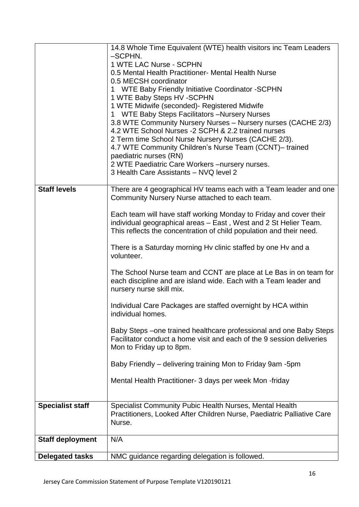|                         | 14.8 Whole Time Equivalent (WTE) health visitors inc Team Leaders                                                                       |
|-------------------------|-----------------------------------------------------------------------------------------------------------------------------------------|
|                         | -SCPHN.<br>1 WTE LAC Nurse - SCPHN                                                                                                      |
|                         | 0.5 Mental Health Practitioner- Mental Health Nurse                                                                                     |
|                         | 0.5 MECSH coordinator                                                                                                                   |
|                         | 1 WTE Baby Friendly Initiative Coordinator - SCPHN                                                                                      |
|                         | 1 WTE Baby Steps HV -SCPHN                                                                                                              |
|                         | 1 WTE Midwife (seconded)- Registered Midwife                                                                                            |
|                         | 1 WTE Baby Steps Facilitators - Nursery Nurses                                                                                          |
|                         | 3.8 WTE Community Nursery Nurses - Nursery nurses (CACHE 2/3)                                                                           |
|                         | 4.2 WTE School Nurses -2 SCPH & 2.2 trained nurses                                                                                      |
|                         | 2 Term time School Nurse Nursery Nurses (CACHE 2/3).<br>4.7 WTE Community Children's Nurse Team (CCNT)- trained                         |
|                         | paediatric nurses (RN)                                                                                                                  |
|                         | 2 WTE Paediatric Care Workers - nursery nurses.                                                                                         |
|                         | 3 Health Care Assistants - NVQ level 2                                                                                                  |
|                         |                                                                                                                                         |
| <b>Staff levels</b>     | There are 4 geographical HV teams each with a Team leader and one                                                                       |
|                         | Community Nursery Nurse attached to each team.                                                                                          |
|                         |                                                                                                                                         |
|                         | Each team will have staff working Monday to Friday and cover their                                                                      |
|                         | individual geographical areas - East, West and 2 St Helier Team.<br>This reflects the concentration of child population and their need. |
|                         |                                                                                                                                         |
|                         | There is a Saturday morning Hy clinic staffed by one Hy and a                                                                           |
|                         | volunteer.                                                                                                                              |
|                         |                                                                                                                                         |
|                         | The School Nurse team and CCNT are place at Le Bas in on team for                                                                       |
|                         | each discipline and are island wide. Each with a Team leader and                                                                        |
|                         | nursery nurse skill mix.                                                                                                                |
|                         | Individual Care Packages are staffed overnight by HCA within                                                                            |
|                         | individual homes.                                                                                                                       |
|                         |                                                                                                                                         |
|                         | Baby Steps – one trained healthcare professional and one Baby Steps                                                                     |
|                         | Facilitator conduct a home visit and each of the 9 session deliveries                                                                   |
|                         | Mon to Friday up to 8pm.                                                                                                                |
|                         | Baby Friendly – delivering training Mon to Friday 9am -5pm                                                                              |
|                         |                                                                                                                                         |
|                         | Mental Health Practitioner- 3 days per week Mon-friday                                                                                  |
|                         |                                                                                                                                         |
|                         |                                                                                                                                         |
| <b>Specialist staff</b> | Specialist Community Pubic Health Nurses, Mental Health                                                                                 |
|                         | Practitioners, Looked After Children Nurse, Paediatric Palliative Care<br>Nurse.                                                        |
|                         |                                                                                                                                         |
| <b>Staff deployment</b> | N/A                                                                                                                                     |
|                         |                                                                                                                                         |
| <b>Delegated tasks</b>  | NMC guidance regarding delegation is followed.                                                                                          |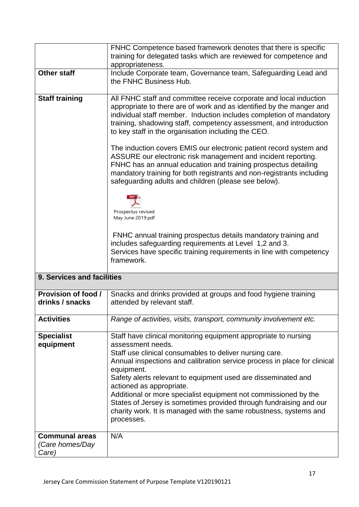|                                        | FNHC Competence based framework denotes that there is specific                                                                                                                                                                                                                                                                                                                                                                                                                                                                                                     |
|----------------------------------------|--------------------------------------------------------------------------------------------------------------------------------------------------------------------------------------------------------------------------------------------------------------------------------------------------------------------------------------------------------------------------------------------------------------------------------------------------------------------------------------------------------------------------------------------------------------------|
|                                        | training for delegated tasks which are reviewed for competence and                                                                                                                                                                                                                                                                                                                                                                                                                                                                                                 |
|                                        | appropriateness.                                                                                                                                                                                                                                                                                                                                                                                                                                                                                                                                                   |
| <b>Other staff</b>                     | Include Corporate team, Governance team, Safeguarding Lead and<br>the FNHC Business Hub.                                                                                                                                                                                                                                                                                                                                                                                                                                                                           |
| <b>Staff training</b>                  | All FNHC staff and committee receive corporate and local induction<br>appropriate to there are of work and as identified by the manger and<br>individual staff member. Induction includes completion of mandatory<br>training, shadowing staff, competency assessment, and introduction<br>to key staff in the organisation including the CEO.<br>The induction covers EMIS our electronic patient record system and<br>ASSURE our electronic risk management and incident reporting.<br>FNHC has an annual education and training prospectus detailing            |
|                                        | mandatory training for both registrants and non-registrants including<br>safeguarding adults and children (please see below).                                                                                                                                                                                                                                                                                                                                                                                                                                      |
|                                        | <b>PDF</b><br>Prospectus revised<br>May June 2019.pdf                                                                                                                                                                                                                                                                                                                                                                                                                                                                                                              |
|                                        | FNHC annual training prospectus details mandatory training and<br>includes safeguarding requirements at Level 1,2 and 3.<br>Services have specific training requirements in line with competency<br>framework.                                                                                                                                                                                                                                                                                                                                                     |
| 9. Services and facilities             |                                                                                                                                                                                                                                                                                                                                                                                                                                                                                                                                                                    |
| Provision of food /<br>drinks / snacks | Snacks and drinks provided at groups and food hygiene training<br>attended by relevant staff.                                                                                                                                                                                                                                                                                                                                                                                                                                                                      |
| <b>Activities</b>                      | Range of activities, visits, transport, community involvement etc.                                                                                                                                                                                                                                                                                                                                                                                                                                                                                                 |
| <b>Specialist</b><br>equipment         | Staff have clinical monitoring equipment appropriate to nursing<br>assessment needs.<br>Staff use clinical consumables to deliver nursing care.<br>Annual inspections and calibration service process in place for clinical<br>equipment.<br>Safety alerts relevant to equipment used are disseminated and<br>actioned as appropriate.<br>Additional or more specialist equipment not commissioned by the<br>States of Jersey is sometimes provided through fundraising and our<br>charity work. It is managed with the same robustness, systems and<br>processes. |
| <b>Communal areas</b>                  | N/A                                                                                                                                                                                                                                                                                                                                                                                                                                                                                                                                                                |
| (Care homes/Day                        |                                                                                                                                                                                                                                                                                                                                                                                                                                                                                                                                                                    |
| Care)                                  |                                                                                                                                                                                                                                                                                                                                                                                                                                                                                                                                                                    |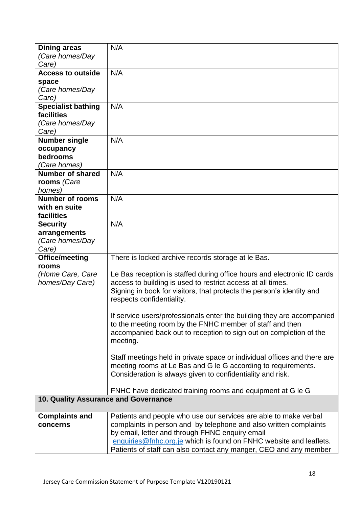| <b>Dining areas</b>                  | N/A                                                                      |
|--------------------------------------|--------------------------------------------------------------------------|
| (Care homes/Day                      |                                                                          |
| Care)                                |                                                                          |
|                                      |                                                                          |
| <b>Access to outside</b>             | N/A                                                                      |
| space                                |                                                                          |
| (Care homes/Day                      |                                                                          |
| Care)                                |                                                                          |
| <b>Specialist bathing</b>            | N/A                                                                      |
| facilities                           |                                                                          |
| (Care homes/Day                      |                                                                          |
| Care)                                |                                                                          |
| <b>Number single</b>                 | N/A                                                                      |
| occupancy                            |                                                                          |
| bedrooms                             |                                                                          |
| (Care homes)                         |                                                                          |
| <b>Number of shared</b>              | N/A                                                                      |
| rooms (Care                          |                                                                          |
| homes)                               |                                                                          |
| <b>Number of rooms</b>               | N/A                                                                      |
|                                      |                                                                          |
| with en suite                        |                                                                          |
| facilities                           |                                                                          |
| <b>Security</b>                      | N/A                                                                      |
| arrangements                         |                                                                          |
| (Care homes/Day                      |                                                                          |
| Care)                                |                                                                          |
| Office/meeting                       | There is locked archive records storage at le Bas.                       |
| rooms                                |                                                                          |
| (Home Care, Care                     | Le Bas reception is staffed during office hours and electronic ID cards  |
| homes/Day Care)                      | access to building is used to restrict access at all times.              |
|                                      | Signing in book for visitors, that protects the person's identity and    |
|                                      | respects confidentiality.                                                |
|                                      |                                                                          |
|                                      | If service users/professionals enter the building they are accompanied   |
|                                      | to the meeting room by the FNHC member of staff and then                 |
|                                      | accompanied back out to reception to sign out on completion of the       |
|                                      | meeting.                                                                 |
|                                      |                                                                          |
|                                      | Staff meetings held in private space or individual offices and there are |
|                                      | meeting rooms at Le Bas and G le G according to requirements.            |
|                                      | Consideration is always given to confidentiality and risk.               |
|                                      |                                                                          |
|                                      | FNHC have dedicated training rooms and equipment at G le G               |
| 10. Quality Assurance and Governance |                                                                          |
|                                      |                                                                          |
| <b>Complaints and</b>                | Patients and people who use our services are able to make verbal         |
| concerns                             | complaints in person and by telephone and also written complaints        |
|                                      | by email, letter and through FHNC enquiry email                          |
|                                      |                                                                          |
|                                      | enquiries@fnhc.org.je which is found on FNHC website and leaflets.       |
|                                      | Patients of staff can also contact any manger, CEO and any member        |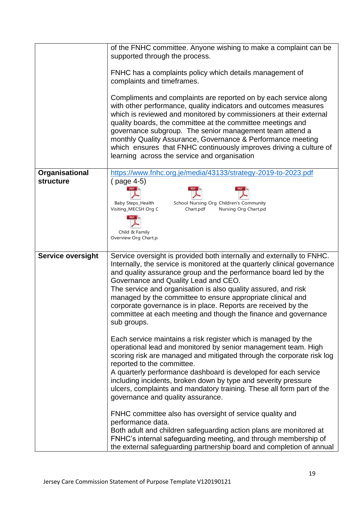|                          | of the FNHC committee. Anyone wishing to make a complaint can be<br>supported through the process.                                                                                                                                                                                                                                                                                                                                                                                                                                                 |
|--------------------------|----------------------------------------------------------------------------------------------------------------------------------------------------------------------------------------------------------------------------------------------------------------------------------------------------------------------------------------------------------------------------------------------------------------------------------------------------------------------------------------------------------------------------------------------------|
|                          | FNHC has a complaints policy which details management of<br>complaints and timeframes.                                                                                                                                                                                                                                                                                                                                                                                                                                                             |
|                          | Compliments and complaints are reported on by each service along<br>with other performance, quality indicators and outcomes measures<br>which is reviewed and monitored by commissioners at their external<br>quality boards, the committee at the committee meetings and<br>governance subgroup. The senior management team attend a<br>monthly Quality Assurance, Governance & Performance meeting<br>which ensures that FNHC continuously improves driving a culture of<br>learning across the service and organisation                         |
| Organisational           | https://www.fnhc.org.je/media/43133/strategy-2019-to-2023.pdf                                                                                                                                                                                                                                                                                                                                                                                                                                                                                      |
| <b>structure</b>         | (page 4-5)<br><b>PDF</b>                                                                                                                                                                                                                                                                                                                                                                                                                                                                                                                           |
|                          | Baby Steps_Health<br>School Nursing Org Children's Community                                                                                                                                                                                                                                                                                                                                                                                                                                                                                       |
|                          | Visiting_MECSH Org C<br>Nursing Org Chart.pd<br>Chart.pdf                                                                                                                                                                                                                                                                                                                                                                                                                                                                                          |
|                          |                                                                                                                                                                                                                                                                                                                                                                                                                                                                                                                                                    |
|                          | Child & Family                                                                                                                                                                                                                                                                                                                                                                                                                                                                                                                                     |
|                          | Overview Org Chart.p                                                                                                                                                                                                                                                                                                                                                                                                                                                                                                                               |
| <b>Service oversight</b> | Service oversight is provided both internally and externally to FNHC.<br>Internally, the service is monitored at the quarterly clinical governance<br>and quality assurance group and the performance board led by the<br>Governance and Quality Lead and CEO.<br>The service and organisation is also quality assured, and risk<br>managed by the committee to ensure appropriate clinical and<br>corporate governance is in place. Reports are received by the<br>committee at each meeting and though the finance and governance<br>sub groups. |
|                          | Each service maintains a risk register which is managed by the<br>operational lead and monitored by senior management team. High<br>scoring risk are managed and mitigated through the corporate risk log<br>reported to the committee.<br>A quarterly performance dashboard is developed for each service<br>including incidents, broken down by type and severity pressure<br>ulcers, complaints and mandatory training. These all form part of the<br>governance and quality assurance.                                                         |
|                          | FNHC committee also has oversight of service quality and<br>performance data.<br>Both adult and children safeguarding action plans are monitored at<br>FNHC's internal safeguarding meeting, and through membership of<br>the external safeguarding partnership board and completion of annual                                                                                                                                                                                                                                                     |